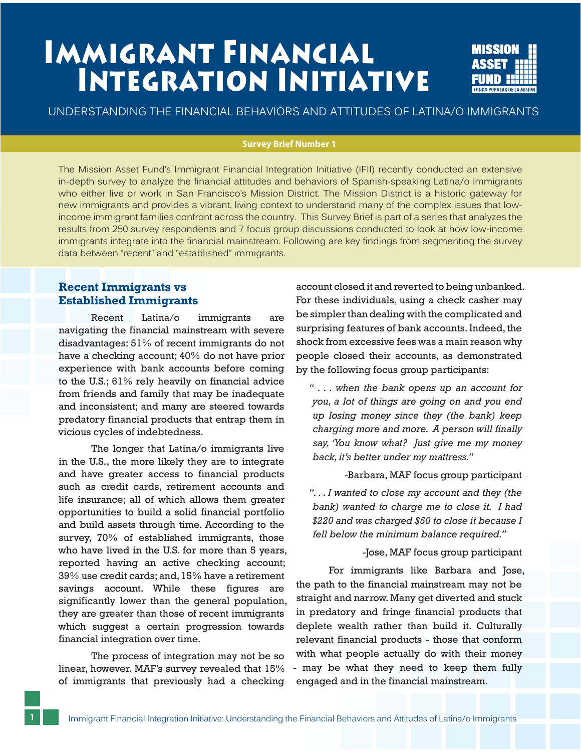# **SURVEY AND SURVEY AT A LITTLE IN A LITTLE IN A LITTLE IN A LITTLE IN A LITTLE INC. INTEGRATION INITIATIVE**



UNDERSTANDING THE FINANCIAL BEHAVIORS AND ATTITUDES OF LATINA/O IMMIGRANTS

#### **Survey Brief Number 1**

The Mission Asset Fund's Immigrant Financial Integration Initiative (IFII) recently conducted an extensive in-depth survey to analyze the financial attitudes and behaviors of Spanish-speaking Latina/o immigrants who either live or work in San Francisco's Mission District. The Mission District is a historic gateway for new immigrants and provides a vibrant, living context to understand many of the complex issues that lowincome immigrant families confront across the country. This Survey Brief is part of a series that analyzes the results from 250 survey respondents and 7 focus group discussions conducted to look at how low-income immigrants integrate into the financial mainstream. Following are key findings from segmenting the survey data between "recent" and "established" immigrants.

# **Recent Immigrants vs Established Immigrants**

Recent Latina/o immigrants are navigating the financial mainstream with severe disadvantages: 51% of recent immigrants do not have a checking account; 40% do not have prior experience with bank accounts before coming to the U.S.; 61% rely heavily on financial advice from friends and family that may be inadequate and inconsistent; and many are steered towards predatory financial products that entrap them in vicious cycles of indebtedness.

 The longer that Latina/o immigrants live in the U.S., the more likely they are to integrate and have greater access to financial products such as credit cards, retirement accounts and life insurance; all of which allows them greater opportunities to build a solid financial portfolio and build assets through time. According to the survey, 70% of established immigrants, those who have lived in the U.S. for more than 5 years, reported having an active checking account; 39% use credit cards; and, 15% have a retirement savings account. While these figures are significantly lower than the general population, they are greater than those of recent immigrants which suggest a certain progression towards financial integration over time.

 The process of integration may not be so linear, however. MAF's survey revealed that 15% of immigrants that previously had a checking

**1**

account closed it and reverted to being unbanked. For these individuals, using a check casher may be simpler than dealing with the complicated and surprising features of bank accounts. Indeed, the shock from excessive fees was a main reason why people closed their accounts, as demonstrated by the following focus group participants:

*" . . . when the bank opens up an account for you, a lot of things are going on and you end up losing money since they (the bank) keep charging more and more. A person will finally say, 'You know what? Just give me my money back, it's better under my mattress."* 

-Barbara, MAF focus group participant

*". . . I wanted to close my account and they (the bank) wanted to charge me to close it. I had \$220 and was charged \$50 to close it because I fell below the minimum balance required."* 

-Jose, MAF focus group participant

 For immigrants like Barbara and Jose, the path to the financial mainstream may not be straight and narrow. Many get diverted and stuck in predatory and fringe financial products that deplete wealth rather than build it. Culturally relevant financial products - those that conform with what people actually do with their money may be what they need to keep them fully engaged and in the financial mainstream.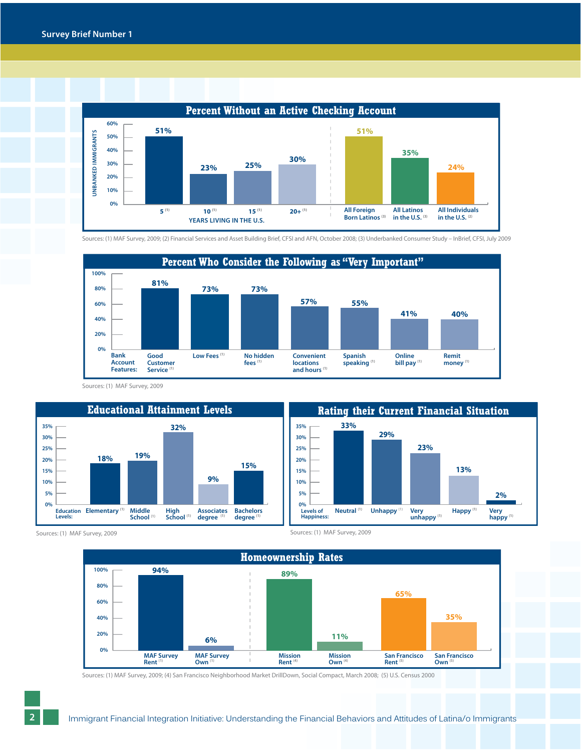

Sources: (1) MAF Survey, 2009; (2) Financial Services and Asset Building Brief, CFSI and AFN, October 2008; (3) Underbanked Consumer Study – InBrief, CFSI, July 2009



Sources: (1) MAF Survey, 2009





Sources: (1) MAF Survey, 2009 Sources: (1) MAF Survey, 2009



Sources: (1) MAF Survey, 2009; (4) San Francisco Neighborhood Market DrillDown, Social Compact, March 2008; (5) U.S. Census 2000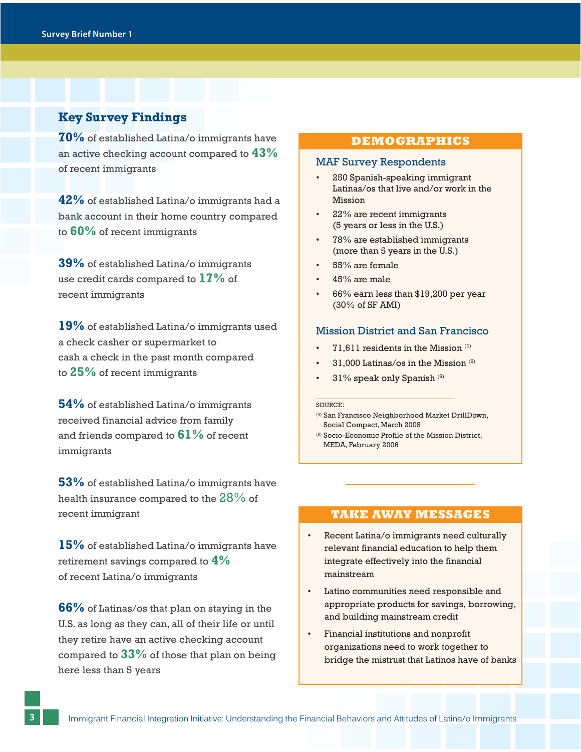# **Key Survey Findings**

**70%** of established Latina/o immigrants have an active checking account compared to **43%** of recent immigrants

**42%** of established Latina/o immigrants had a bank account in their home country compared to **60%** of recent immigrants

**39%** of established Latina/o immigrants use credit cards compared to **17%** of recent immigrants

**19%** of established Latina/o immigrants used a check casher or supermarket to cash a check in the past month compared to **25%** of recent immigrants

**54%** of established Latina/o immigrants received financial advice from family and friends compared to **61%** of recent immigrants

**53%** of established Latina/o immigrants have health insurance compared to the 28% of recent immigrant

**15%** of established Latina/o immigrants have retirement savings compared to **4%** of recent Latina/o immigrants

**66%** of Latinas/os that plan on staying in the U.S. as long as they can, all of their life or until they retire have an active checking account compared to **33%** of those that plan on being here less than 5 years

## **DEMOGRAPHICS**

### MAF Survey Respondents

- 250 Spanish-speaking immigrant Latinas/os that live and/or work in the Mission
- 22% are recent immigrants (5 years or less in the U.S.)
- 78% are established immigrants (more than 5 years in the U.S.)
- 55% are female
- 45% are male
- 66% earn less than \$19,200 per year (30% of SF AMI)

## Mission District and San Francisco

- 71.611 residents in the Mission  $(4)$
- 31,000 Latinas/os in the Mission  $(6)$
- 31% speak only Spanish<sup>(6)</sup>

#### SOURCE:

- (4) San Francisco Neighborhood Market DrillDown, Social Compact, March 2008
- (6) Socio-Economic Profile of the Mission District, MEDA, February 2006

## **TAKE AWAY MESSAGES**

- Recent Latina/o immigrants need culturally relevant financial education to help them integrate effectively into the financial mainstream
- Latino communities need responsible and appropriate products for savings, borrowing, and building mainstream credit
- Financial institutions and nonprofit organizations need to work together to bridge the mistrust that Latinos have of banks